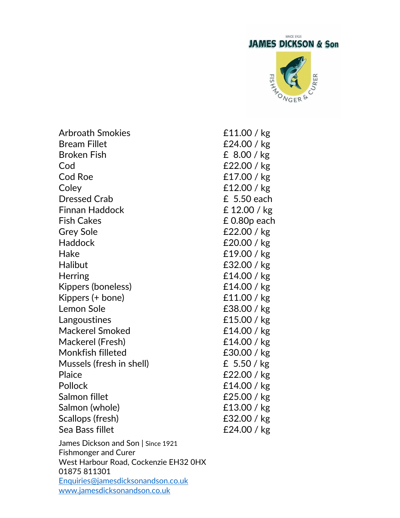

James Dickson and Son | Since 1921 Fishmonger and Curer West Harbour Road, Cockenzie EH32 0HX Arbroath Smokies £11.00 / kg Bream Fillet **E24.00** / kg Broken Fish **E** 8.00 / kg Cod £22.00 / kg Cod Roe **£17.00** / kg Coley £12.00 / kg Dressed Crab **E** 5.50 each Finnan Haddock £ 12.00 / kg Fish Cakes **E** 0.80p each Grey Sole **E22.00** / kg Haddock £20.00 / kg Hake £19.00 / kg Halibut **E32.00** / kg Herring **E14.00** / kg Kippers (boneless) E14.00 / kg Kippers (+ bone)  $\angle$  £11.00 / kg Lemon Sole **E38.00** / kg Langoustines **E15.00** / kg Mackerel Smoked **E14.00** / kg Mackerel (Fresh) £14.00 / kg Monkfish filleted £30.00 / kg Mussels (fresh in shell) £ 5.50 / kg Plaice **E22.00** / kg Pollock **E14.00** / kg Salmon fillet **E25.00** / kg Salmon (whole) 6. E13.00 / kg Scallops (fresh) 622.00 / kg Sea Bass fillet **E24.00** / kg

01875 811301 [Enquiries@jamesdicksonandson.co.uk](mailto:Enquiries@jamesdicksonandson.co.uk) [www.jamesdicksonandson.co.uk](http://www.jamesdicksonandson.co.uk/)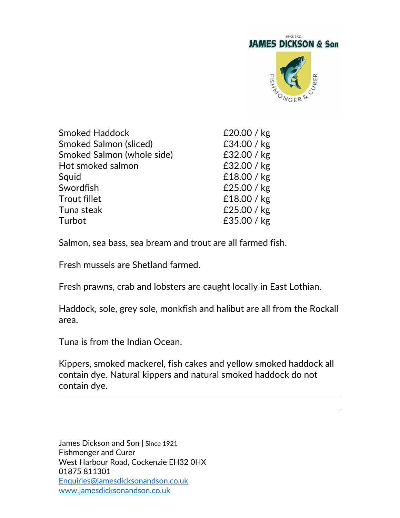

| <b>Smoked Haddock</b>         | £20.00 / kg   |
|-------------------------------|---------------|
| <b>Smoked Salmon (sliced)</b> | £34.00 / kg   |
| Smoked Salmon (whole side)    | £32.00 / kg   |
| Hot smoked salmon             | £32.00 / kg   |
| Squid                         | £18.00 / kg   |
| Swordfish                     | £25.00 / $kg$ |
| <b>Trout fillet</b>           | £18.00 / kg   |
| Tuna steak                    | £25.00 / $kg$ |
| Turbot                        | £35.00 / kg   |
|                               |               |

Salmon, sea bass, sea bream and trout are all farmed fish.

Fresh mussels are Shetland farmed.

Fresh prawns, crab and lobsters are caught locally in East Lothian.

Haddock, sole, grey sole, monkfish and halibut are all from the Rockall area.

Tuna is from the Indian Ocean.

Kippers, smoked mackerel, fish cakes and yellow smoked haddock all contain dye. Natural kippers and natural smoked haddock do not contain dye.

James Dickson and Son | Since 1921 Fishmonger and Curer West Harbour Road, Cockenzie EH32 0HX 01875 811301 [Enquiries@jamesdicksonandson.co.uk](mailto:Enquiries@jamesdicksonandson.co.uk) [www.jamesdicksonandson.co.uk](http://www.jamesdicksonandson.co.uk/)